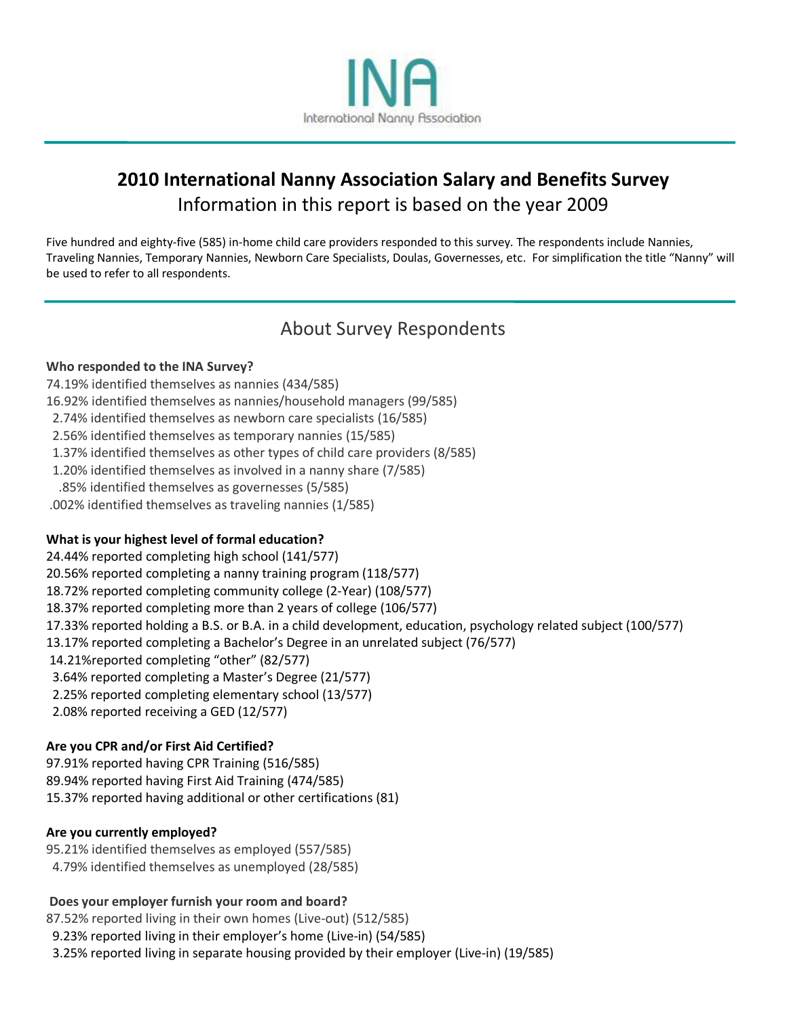

# **2010 International Nanny Association Salary and Benefits Survey** Information in this report is based on the year 2009

Five hundred and eighty-five (585) in-home child care providers responded to this survey. The respondents include Nannies, Traveling Nannies, Temporary Nannies, Newborn Care Specialists, Doulas, Governesses, etc. For simplification the title "Nanny" will be used to refer to all respondents.

# About Survey Respondents

### **Who responded to the INA Survey?**

- 74.19% identified themselves as nannies (434/585)
- 16.92% identified themselves as nannies/household managers (99/585)
- 2.74% identified themselves as newborn care specialists (16/585)
- 2.56% identified themselves as temporary nannies (15/585)
- 1.37% identified themselves as other types of child care providers (8/585)
- 1.20% identified themselves as involved in a nanny share (7/585)
- .85% identified themselves as governesses (5/585)
- .002% identified themselves as traveling nannies (1/585)

### **What is your highest level of formal education?**

24.44% reported completing high school (141/577) 20.56% reported completing a nanny training program (118/577) 18.72% reported completing community college (2-Year) (108/577) 18.37% reported completing more than 2 years of college (106/577) 17.33% reported holding a B.S. or B.A. in a child development, education, psychology related subject (100/577) 13.17% reported completing a Bachelor's Degree in an unrelated subject (76/577) 14.21%reported completing "other" (82/577) 3.64% reported completing a Master's Degree (21/577) 2.25% reported completing elementary school (13/577) 2.08% reported receiving a GED (12/577)

### **Are you CPR and/or First Aid Certified?**

97.91% reported having CPR Training (516/585) 89.94% reported having First Aid Training (474/585) 15.37% reported having additional or other certifications (81)

### **Are you currently employed?**

- 95.21% identified themselves as employed (557/585)
- 4.79% identified themselves as unemployed (28/585)

### **Does your employer furnish your room and board?**

87.52% reported living in their own homes (Live-out) (512/585)

- 9.23% reported living in their employer's home (Live-in) (54/585)
- 3.25% reported living in separate housing provided by their employer (Live-in) (19/585)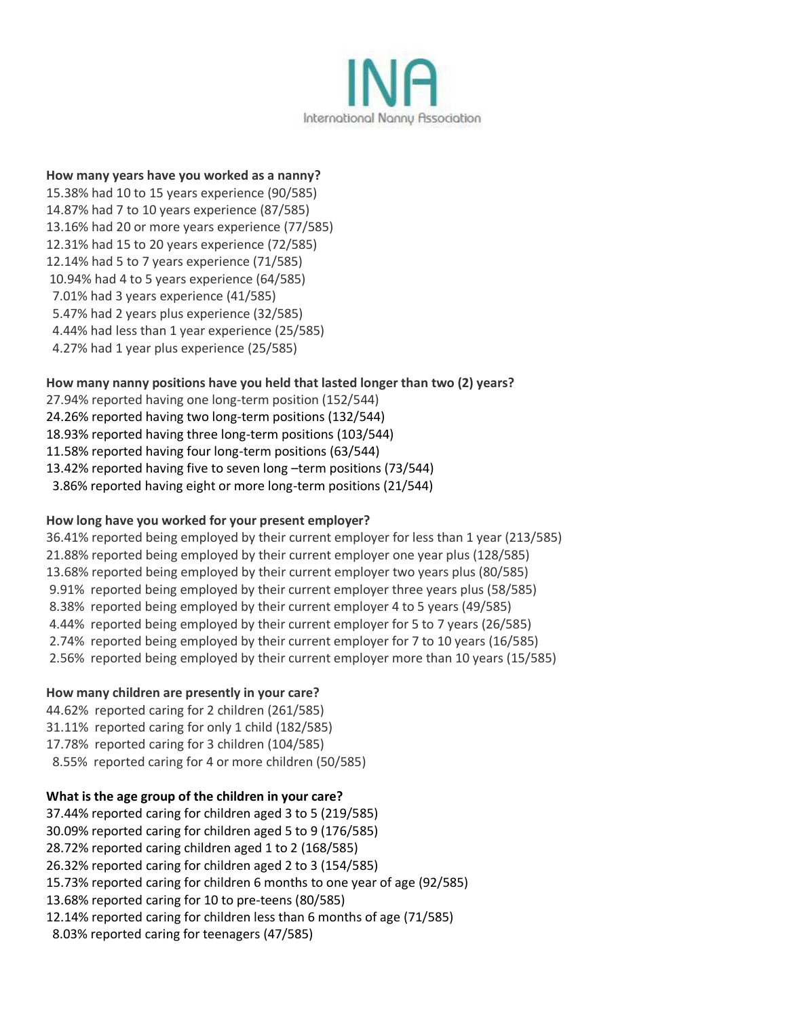

#### **How many years have you worked as a nanny?**

15.38% had 10 to 15 years experience (90/585) 14.87% had 7 to 10 years experience (87/585) 13.16% had 20 or more years experience (77/585) 12.31% had 15 to 20 years experience (72/585) 12.14% had 5 to 7 years experience (71/585) 10.94% had 4 to 5 years experience (64/585) 7.01% had 3 years experience (41/585) 5.47% had 2 years plus experience (32/585) 4.44% had less than 1 year experience (25/585) 4.27% had 1 year plus experience (25/585)

### **How many nanny positions have you held that lasted longer than two (2) years?**

27.94% reported having one long-term position (152/544) 24.26% reported having two long-term positions (132/544) 18.93% reported having three long-term positions (103/544) 11.58% reported having four long-term positions (63/544) 13.42% reported having five to seven long –term positions (73/544) 3.86% reported having eight or more long-term positions (21/544)

### **How long have you worked for your present employer?**

36.41% reported being employed by their current employer for less than 1 year (213/585) 21.88% reported being employed by their current employer one year plus (128/585) 13.68% reported being employed by their current employer two years plus (80/585) 9.91% reported being employed by their current employer three years plus (58/585) 8.38% reported being employed by their current employer 4 to 5 years (49/585) 4.44% reported being employed by their current employer for 5 to 7 years (26/585) 2.74% reported being employed by their current employer for 7 to 10 years (16/585) 2.56% reported being employed by their current employer more than 10 years (15/585)

### **How many children are presently in your care?**

44.62% reported caring for 2 children (261/585) 31.11% reported caring for only 1 child (182/585) 17.78% reported caring for 3 children (104/585) 8.55% reported caring for 4 or more children (50/585)

### **What is the age group of the children in your care?**

37.44% reported caring for children aged 3 to 5 (219/585) 30.09% reported caring for children aged 5 to 9 (176/585) 28.72% reported caring children aged 1 to 2 (168/585) 26.32% reported caring for children aged 2 to 3 (154/585) 15.73% reported caring for children 6 months to one year of age (92/585) 13.68% reported caring for 10 to pre-teens (80/585) 12.14% reported caring for children less than 6 months of age (71/585) 8.03% reported caring for teenagers (47/585)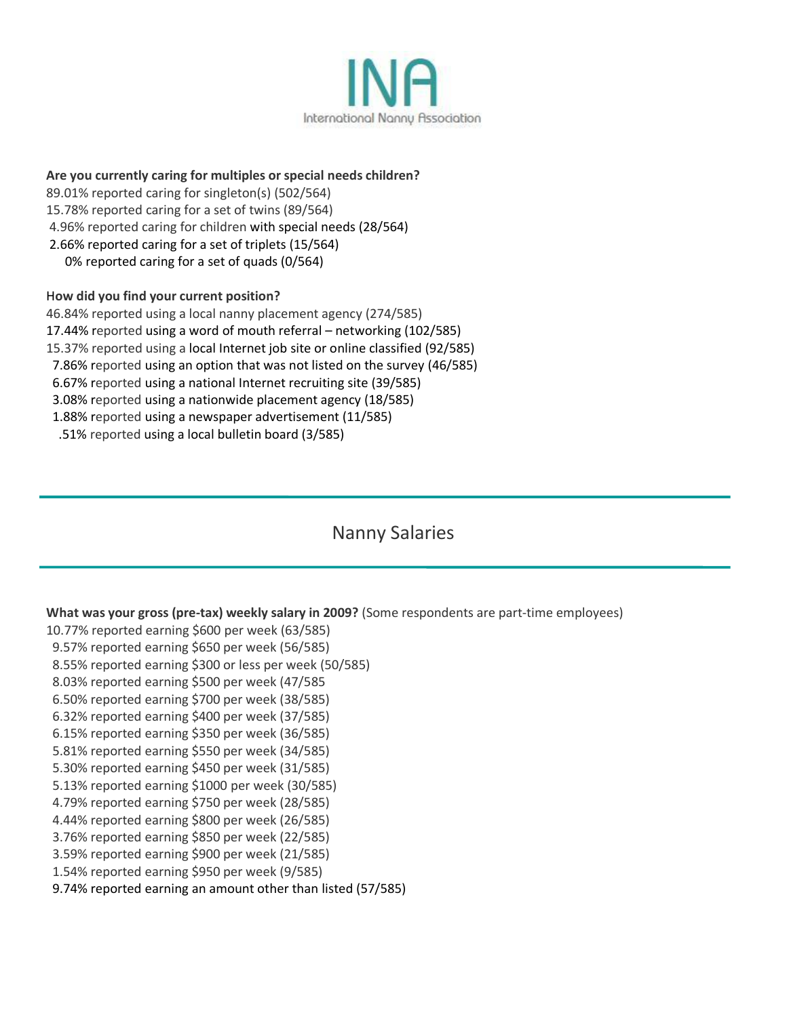

### **Are you currently caring for multiples or special needs children?**

89.01% reported caring for singleton(s) (502/564)

15.78% reported caring for a set of twins (89/564)

4.96% reported caring for children with special needs (28/564)

2.66% reported caring for a set of triplets (15/564)

0% reported caring for a set of quads (0/564)

### H**ow did you find your current position?**

46.84% reported using a local nanny placement agency (274/585) 17.44% reported using a word of mouth referral – networking (102/585) 15.37% reported using a local Internet job site or online classified (92/585) 7.86% reported using an option that was not listed on the survey (46/585) 6.67% reported using a national Internet recruiting site (39/585) 3.08% reported using a nationwide placement agency (18/585) 1.88% reported using a newspaper advertisement (11/585) .51% reported using a local bulletin board (3/585)

# Nanny Salaries

### **What was your gross (pre-tax) weekly salary in 2009?** (Some respondents are part-time employees)

- 10.77% reported earning \$600 per week (63/585)
- 9.57% reported earning \$650 per week (56/585)
- 8.55% reported earning \$300 or less per week (50/585)
- 8.03% reported earning \$500 per week (47/585
- 6.50% reported earning \$700 per week (38/585)
- 6.32% reported earning \$400 per week (37/585)
- 6.15% reported earning \$350 per week (36/585)
- 5.81% reported earning \$550 per week (34/585) 5.30% reported earning \$450 per week (31/585)
- 5.13% reported earning \$1000 per week (30/585)
- 4.79% reported earning \$750 per week (28/585)
- 4.44% reported earning \$800 per week (26/585)
- 3.76% reported earning \$850 per week (22/585)
- 3.59% reported earning \$900 per week (21/585)
- 1.54% reported earning \$950 per week (9/585)
- 9.74% reported earning an amount other than listed (57/585)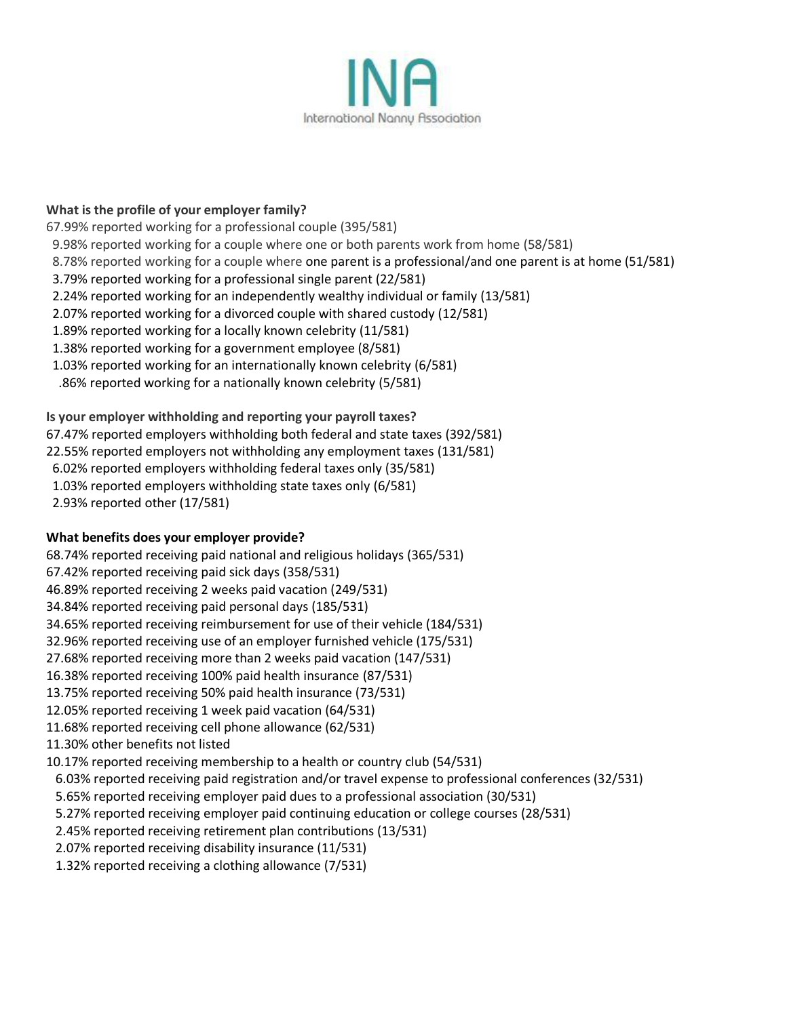

#### **What is the profile of your employer family?**

67.99% reported working for a professional couple (395/581)

- 9.98% reported working for a couple where one or both parents work from home (58/581)
- 8.78% reported working for a couple where one parent is a professional/and one parent is at home (51/581)
- 3.79% reported working for a professional single parent (22/581)
- 2.24% reported working for an independently wealthy individual or family (13/581)
- 2.07% reported working for a divorced couple with shared custody (12/581)
- 1.89% reported working for a locally known celebrity (11/581)
- 1.38% reported working for a government employee (8/581)
- 1.03% reported working for an internationally known celebrity (6/581)
- .86% reported working for a nationally known celebrity (5/581)

#### **Is your employer withholding and reporting your payroll taxes?**

- 67.47% reported employers withholding both federal and state taxes (392/581)
- 22.55% reported employers not withholding any employment taxes (131/581)
- 6.02% reported employers withholding federal taxes only (35/581)
- 1.03% reported employers withholding state taxes only (6/581)
- 2.93% reported other (17/581)

#### **What benefits does your employer provide?**

- 68.74% reported receiving paid national and religious holidays (365/531)
- 67.42% reported receiving paid sick days (358/531)
- 46.89% reported receiving 2 weeks paid vacation (249/531)
- 34.84% reported receiving paid personal days (185/531)
- 34.65% reported receiving reimbursement for use of their vehicle (184/531)
- 32.96% reported receiving use of an employer furnished vehicle (175/531)
- 27.68% reported receiving more than 2 weeks paid vacation (147/531)
- 16.38% reported receiving 100% paid health insurance (87/531)
- 13.75% reported receiving 50% paid health insurance (73/531)
- 12.05% reported receiving 1 week paid vacation (64/531)
- 11.68% reported receiving cell phone allowance (62/531)
- 11.30% other benefits not listed
- 10.17% reported receiving membership to a health or country club (54/531)
- 6.03% reported receiving paid registration and/or travel expense to professional conferences (32/531)
- 5.65% reported receiving employer paid dues to a professional association (30/531)
- 5.27% reported receiving employer paid continuing education or college courses (28/531)
- 2.45% reported receiving retirement plan contributions (13/531)
- 2.07% reported receiving disability insurance (11/531)
- 1.32% reported receiving a clothing allowance (7/531)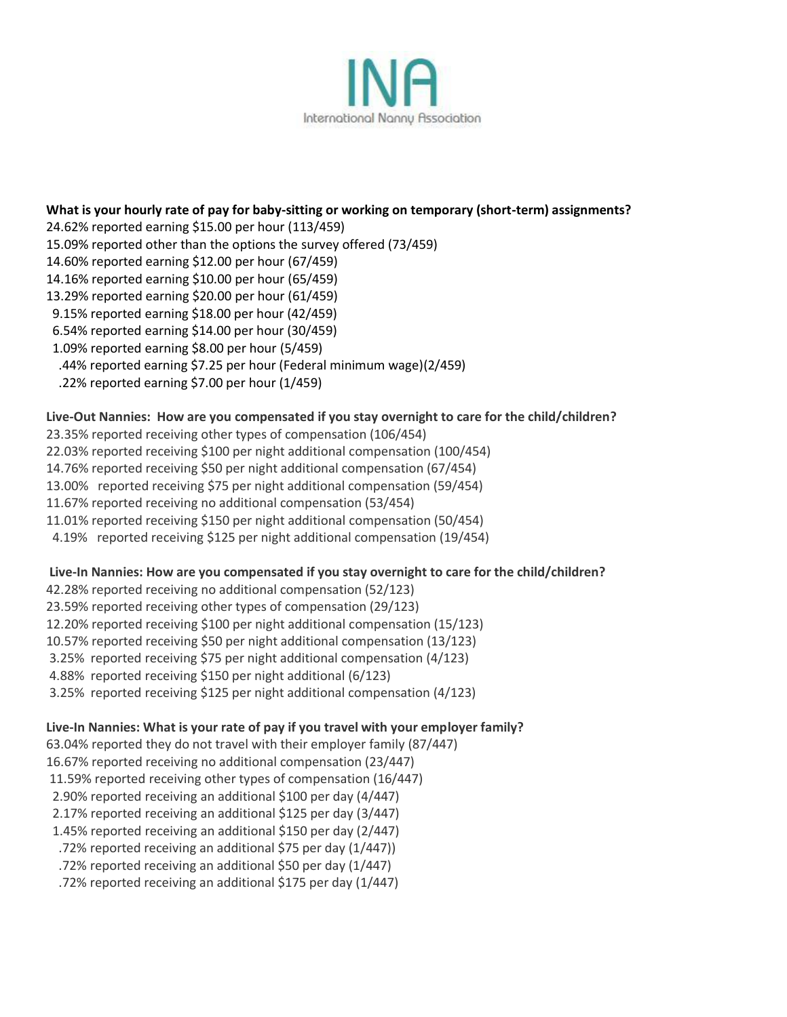

**What is your hourly rate of pay for baby-sitting or working on temporary (short-term) assignments?** 24.62% reported earning \$15.00 per hour (113/459) 15.09% reported other than the options the survey offered (73/459) 14.60% reported earning \$12.00 per hour (67/459) 14.16% reported earning \$10.00 per hour (65/459) 13.29% reported earning \$20.00 per hour (61/459) 9.15% reported earning \$18.00 per hour (42/459) 6.54% reported earning \$14.00 per hour (30/459) 1.09% reported earning \$8.00 per hour (5/459) .44% reported earning \$7.25 per hour (Federal minimum wage)(2/459) .22% reported earning \$7.00 per hour (1/459) **Live-Out Nannies: How are you compensated if you stay overnight to care for the child/children?** 

- 23.35% reported receiving other types of compensation (106/454)
- 22.03% reported receiving \$100 per night additional compensation (100/454)
- 14.76% reported receiving \$50 per night additional compensation (67/454)
- 13.00% reported receiving \$75 per night additional compensation (59/454)
- 11.67% reported receiving no additional compensation (53/454)
- 11.01% reported receiving \$150 per night additional compensation (50/454)
- 4.19% reported receiving \$125 per night additional compensation (19/454)

#### **Live-In Nannies: How are you compensated if you stay overnight to care for the child/children?**

- 42.28% reported receiving no additional compensation (52/123)
- 23.59% reported receiving other types of compensation (29/123)
- 12.20% reported receiving \$100 per night additional compensation (15/123)
- 10.57% reported receiving \$50 per night additional compensation (13/123)
- 3.25% reported receiving \$75 per night additional compensation (4/123)
- 4.88% reported receiving \$150 per night additional (6/123)
- 3.25% reported receiving \$125 per night additional compensation (4/123)

#### **Live-In Nannies: What is your rate of pay if you travel with your employer family?**

- 63.04% reported they do not travel with their employer family (87/447)
- 16.67% reported receiving no additional compensation (23/447)
- 11.59% reported receiving other types of compensation (16/447)
- 2.90% reported receiving an additional \$100 per day (4/447)
- 2.17% reported receiving an additional \$125 per day (3/447)
- 1.45% reported receiving an additional \$150 per day (2/447)
- .72% reported receiving an additional \$75 per day (1/447))
- .72% reported receiving an additional \$50 per day (1/447)
- .72% reported receiving an additional \$175 per day (1/447)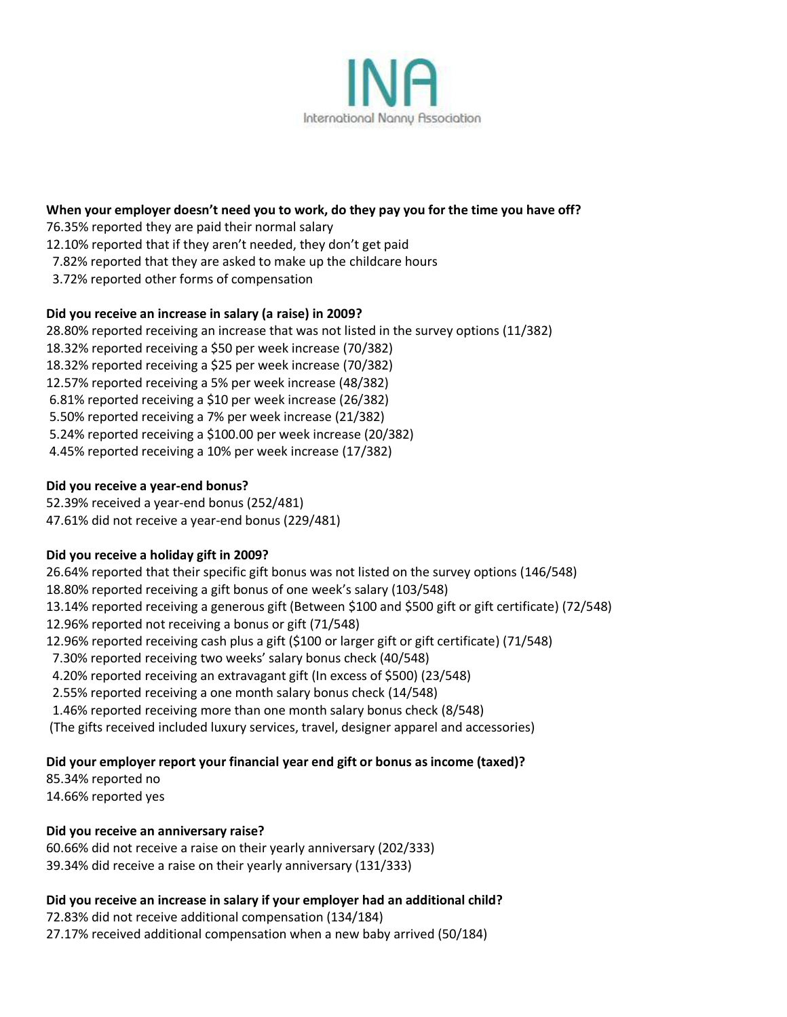

#### **When your employer doesn't need you to work, do they pay you for the time you have off?**

76.35% reported they are paid their normal salary

12.10% reported that if they aren't needed, they don't get paid

- 7.82% reported that they are asked to make up the childcare hours
- 3.72% reported other forms of compensation

#### **Did you receive an increase in salary (a raise) in 2009?**

28.80% reported receiving an increase that was not listed in the survey options (11/382) 18.32% reported receiving a \$50 per week increase (70/382) 18.32% reported receiving a \$25 per week increase (70/382) 12.57% reported receiving a 5% per week increase (48/382) 6.81% reported receiving a \$10 per week increase (26/382) 5.50% reported receiving a 7% per week increase (21/382) 5.24% reported receiving a \$100.00 per week increase (20/382) 4.45% reported receiving a 10% per week increase (17/382)

#### **Did you receive a year-end bonus?**

52.39% received a year-end bonus (252/481) 47.61% did not receive a year-end bonus (229/481)

### **Did you receive a holiday gift in 2009?**

26.64% reported that their specific gift bonus was not listed on the survey options (146/548) 18.80% reported receiving a gift bonus of one week's salary (103/548) 13.14% reported receiving a generous gift (Between \$100 and \$500 gift or gift certificate) (72/548) 12.96% reported not receiving a bonus or gift (71/548) 12.96% reported receiving cash plus a gift (\$100 or larger gift or gift certificate) (71/548) 7.30% reported receiving two weeks' salary bonus check (40/548) 4.20% reported receiving an extravagant gift (In excess of \$500) (23/548) 2.55% reported receiving a one month salary bonus check (14/548) 1.46% reported receiving more than one month salary bonus check (8/548) (The gifts received included luxury services, travel, designer apparel and accessories)

### **Did your employer report your financial year end gift or bonus as income (taxed)?**

85.34% reported no 14.66% reported yes

#### **Did you receive an anniversary raise?**

60.66% did not receive a raise on their yearly anniversary (202/333) 39.34% did receive a raise on their yearly anniversary (131/333)

#### **Did you receive an increase in salary if your employer had an additional child?**

72.83% did not receive additional compensation (134/184) 27.17% received additional compensation when a new baby arrived (50/184)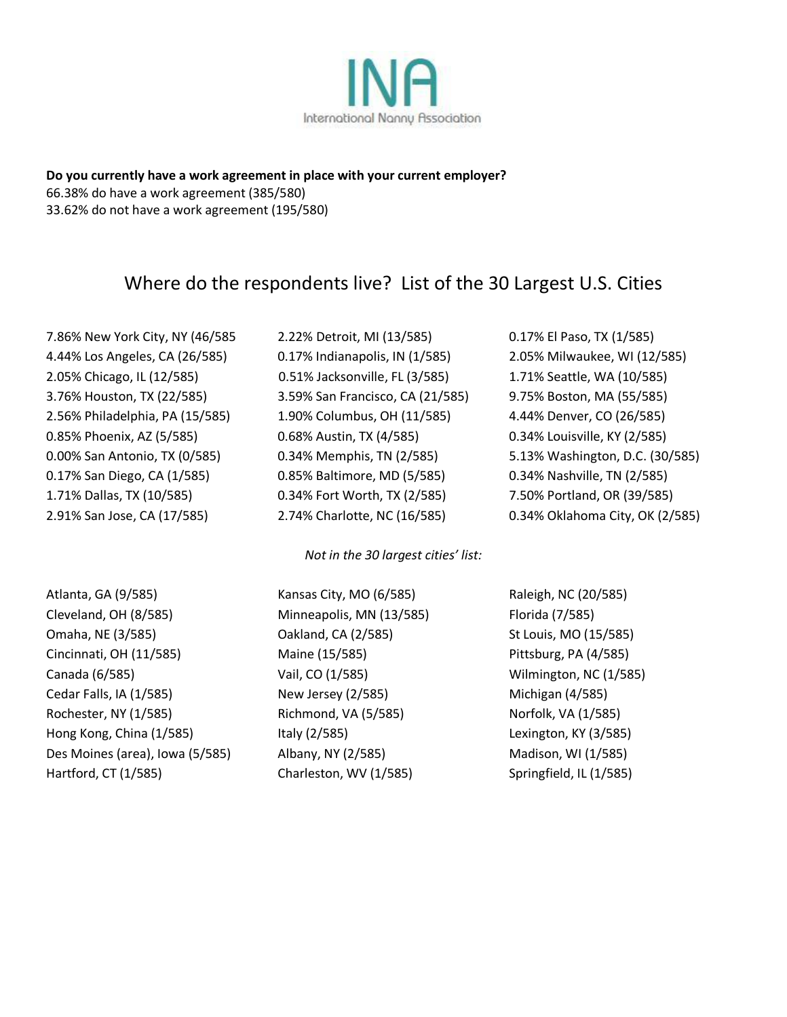

**Do you currently have a work agreement in place with your current employer?** 66.38% do have a work agreement (385/580) 33.62% do not have a work agreement (195/580)

# Where do the respondents live? List of the 30 Largest U.S. Cities

7.86% New York City, NY (46/585 2.22% Detroit, MI (13/585) 0.17% El Paso, TX (1/585) 4.44% Los Angeles, CA (26/585) 0.17% Indianapolis, IN (1/585) 2.05% Milwaukee, WI (12/585) 2.05% Chicago, IL (12/585) 0.51% Jacksonville, FL (3/585) 1.71% Seattle, WA (10/585) 3.76% Houston, TX (22/585) 3.59% San Francisco, CA (21/585) 9.75% Boston, MA (55/585) 2.56% Philadelphia, PA (15/585) 1.90% Columbus, OH (11/585) 4.44% Denver, CO (26/585) 0.85% Phoenix, AZ (5/585) 0.68% Austin, TX (4/585) 0.34% Louisville, KY (2/585) 0.17% San Diego, CA (1/585) 0.85% Baltimore, MD (5/585) 0.34% Nashville, TN (2/585) 1.71% Dallas, TX (10/585) 0.34% Fort Worth, TX (2/585) 7.50% Portland, OR (39/585)

*Not in the 30 largest cities' list:*

Atlanta, GA (9/585) Kansas City, MO (6/585) Raleigh, NC (20/585) Cleveland, OH (8/585) Minneapolis, MN (13/585) Florida (7/585) Omaha, NE (3/585) Oakland, CA (2/585) St Louis, MO (15/585) Cincinnati, OH (11/585) Maine (15/585) Pittsburg, PA (4/585) Canada (6/585) Vail, CO (1/585) Wilmington, NC (1/585) Cedar Falls, IA (1/585) New Jersey (2/585) Michigan (4/585) Rochester, NY (1/585) Richmond, VA (5/585) Norfolk, VA (1/585) Hong Kong, China (1/585) Italy (2/585) Italy (2/585) Lexington, KY (3/585) Des Moines (area), Iowa (5/585) Albany, NY (2/585) Madison, WI (1/585) Hartford, CT (1/585) Charleston, WV (1/585) Springfield, IL (1/585)

0.00% San Antonio, TX (0/585) 0.34% Memphis, TN (2/585) 5.13% Washington, D.C. (30/585) 2.91% San Jose, CA (17/585) 2.74% Charlotte, NC (16/585) 0.34% Oklahoma City, OK (2/585)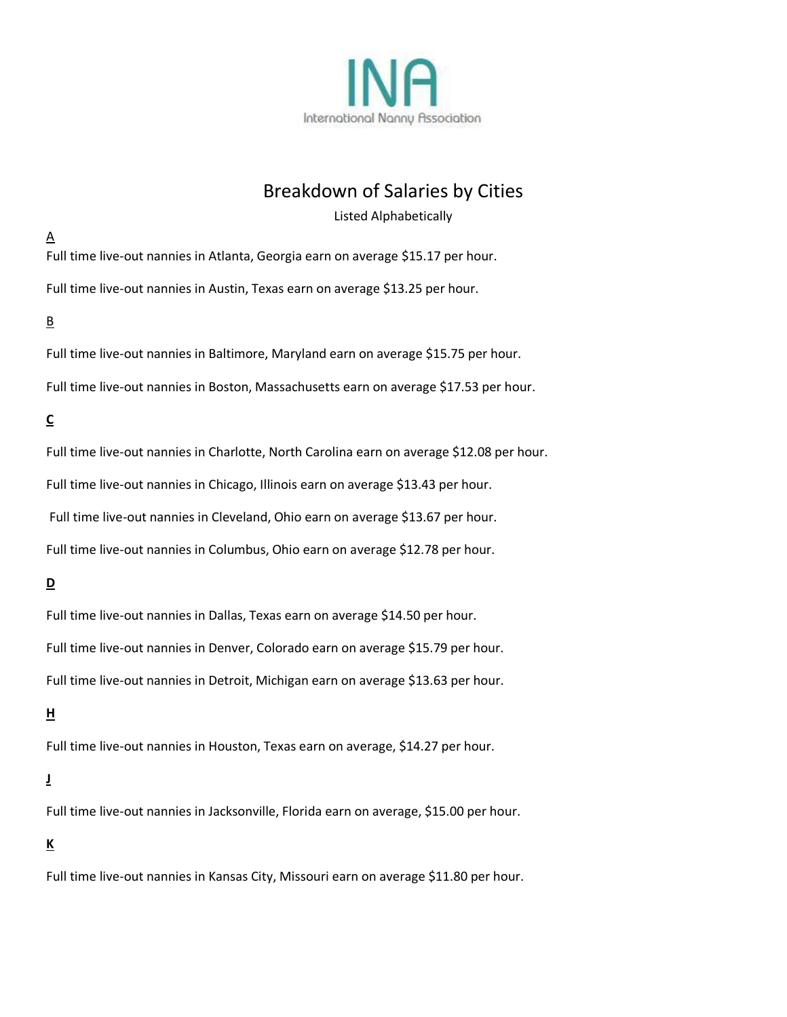

# Breakdown of Salaries by Cities

Listed Alphabetically

 $\underline{A}$ Full time live-out nannies in Atlanta, Georgia earn on average \$15.17 per hour.

Full time live-out nannies in Austin, Texas earn on average \$13.25 per hour.

### B

Full time live-out nannies in Baltimore, Maryland earn on average \$15.75 per hour. Full time live-out nannies in Boston, Massachusetts earn on average \$17.53 per hour.

## **C**

Full time live-out nannies in Charlotte, North Carolina earn on average \$12.08 per hour. Full time live-out nannies in Chicago, Illinois earn on average \$13.43 per hour. Full time live-out nannies in Cleveland, Ohio earn on average \$13.67 per hour. Full time live-out nannies in Columbus, Ohio earn on average \$12.78 per hour.

## **D**

Full time live-out nannies in Dallas, Texas earn on average \$14.50 per hour. Full time live-out nannies in Denver, Colorado earn on average \$15.79 per hour. Full time live-out nannies in Detroit, Michigan earn on average \$13.63 per hour.

### **H**

Full time live-out nannies in Houston, Texas earn on average, \$14.27 per hour.

### **J**

Full time live-out nannies in Jacksonville, Florida earn on average, \$15.00 per hour.

### **K**

Full time live-out nannies in Kansas City, Missouri earn on average \$11.80 per hour.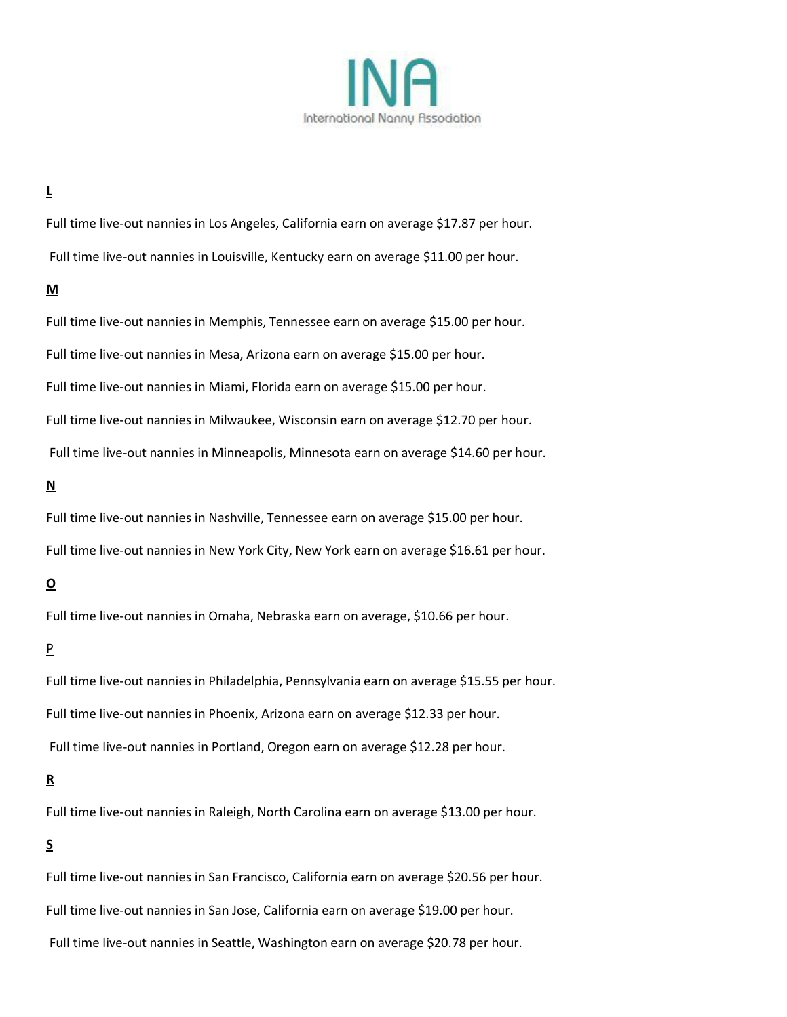

### **L**

Full time live-out nannies in Los Angeles, California earn on average \$17.87 per hour. Full time live-out nannies in Louisville, Kentucky earn on average \$11.00 per hour.

#### **M**

Full time live-out nannies in Memphis, Tennessee earn on average \$15.00 per hour. Full time live-out nannies in Mesa, Arizona earn on average \$15.00 per hour. Full time live-out nannies in Miami, Florida earn on average \$15.00 per hour. Full time live-out nannies in Milwaukee, Wisconsin earn on average \$12.70 per hour. Full time live-out nannies in Minneapolis, Minnesota earn on average \$14.60 per hour.

### **N**

Full time live-out nannies in Nashville, Tennessee earn on average \$15.00 per hour. Full time live-out nannies in New York City, New York earn on average \$16.61 per hour.

## **O**

Full time live-out nannies in Omaha, Nebraska earn on average, \$10.66 per hour.

#### P

Full time live-out nannies in Philadelphia, Pennsylvania earn on average \$15.55 per hour. Full time live-out nannies in Phoenix, Arizona earn on average \$12.33 per hour. Full time live-out nannies in Portland, Oregon earn on average \$12.28 per hour.

### **R**

Full time live-out nannies in Raleigh, North Carolina earn on average \$13.00 per hour.

### **S**

Full time live-out nannies in San Francisco, California earn on average \$20.56 per hour. Full time live-out nannies in San Jose, California earn on average \$19.00 per hour. Full time live-out nannies in Seattle, Washington earn on average \$20.78 per hour.